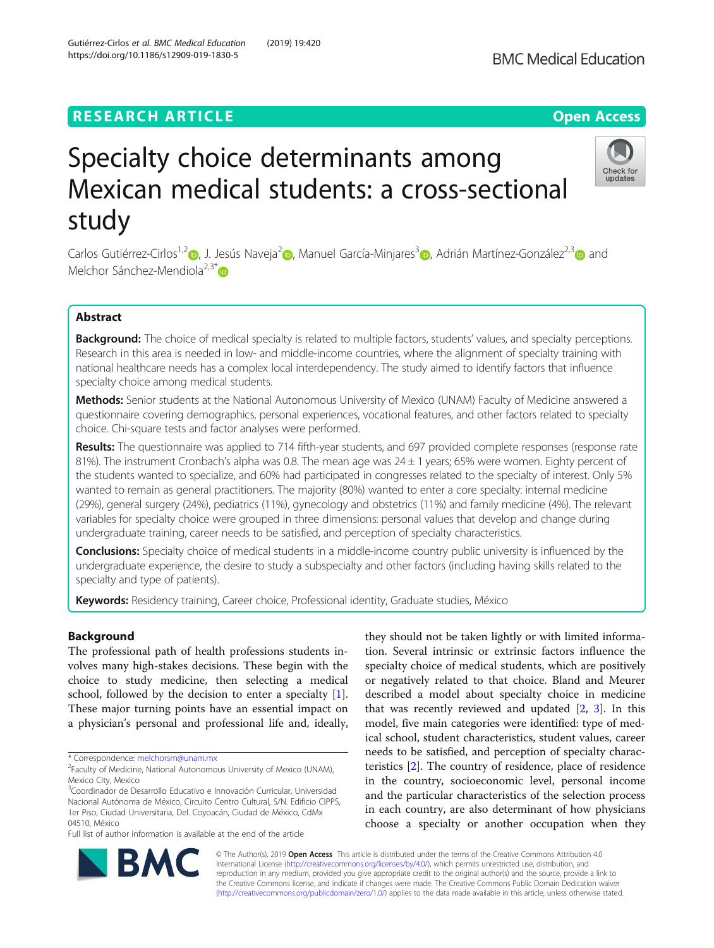# **RESEARCH ARTICLE Example 2014 12:30 The Contract of Contract ACCESS**

# Specialty choice determinants among Mexican medical students: a cross-sectional study

Carlos Gutiérrez-Cirlos<sup>1[,](http://orcid.org/0000-0001-9260-5370)2</sup> , J. Jesús Naveja<sup>2</sup> , Manuel García-Minjares<sup>[3](http://orcid.org/0000-0002-9535-5917)</sup> , Adrián Martínez-González<sup>2,3</sup> and Melchor Sánchez-Mendiola<sup>2,3\*</sup>D

# Abstract

Background: The choice of medical specialty is related to multiple factors, students' values, and specialty perceptions. Research in this area is needed in low- and middle-income countries, where the alignment of specialty training with national healthcare needs has a complex local interdependency. The study aimed to identify factors that influence specialty choice among medical students.

Methods: Senior students at the National Autonomous University of Mexico (UNAM) Faculty of Medicine answered a questionnaire covering demographics, personal experiences, vocational features, and other factors related to specialty choice. Chi-square tests and factor analyses were performed.

Results: The questionnaire was applied to 714 fifth-year students, and 697 provided complete responses (response rate 81%). The instrument Cronbach's alpha was 0.8. The mean age was  $24 \pm 1$  years; 65% were women. Eighty percent of the students wanted to specialize, and 60% had participated in congresses related to the specialty of interest. Only 5% wanted to remain as general practitioners. The majority (80%) wanted to enter a core specialty: internal medicine (29%), general surgery (24%), pediatrics (11%), gynecology and obstetrics (11%) and family medicine (4%). The relevant variables for specialty choice were grouped in three dimensions: personal values that develop and change during undergraduate training, career needs to be satisfied, and perception of specialty characteristics.

**Conclusions:** Specialty choice of medical students in a middle-income country public university is influenced by the undergraduate experience, the desire to study a subspecialty and other factors (including having skills related to the specialty and type of patients).

Keywords: Residency training, Career choice, Professional identity, Graduate studies, México

# Background

The professional path of health professions students involves many high-stakes decisions. These begin with the choice to study medicine, then selecting a medical school, followed by the decision to enter a specialty [\[1](#page-6-0)]. These major turning points have an essential impact on a physician's personal and professional life and, ideally,

\* Correspondence: [melchorsm@unam.mx](mailto:melchorsm@unam.mx) <sup>2</sup>

<sup>3</sup>Coordinador de Desarrollo Educativo e Innovación Curricular, Universidad Nacional Autónoma de México, Circuito Centro Cultural, S/N. Edificio CIPPS, 1er Piso, Ciudad Universitaria, Del. Coyoacán, Ciudad de México, CdMx 04510, México

Full list of author information is available at the end of the article

tion. Several intrinsic or extrinsic factors influence the specialty choice of medical students, which are positively or negatively related to that choice. Bland and Meurer described a model about specialty choice in medicine that was recently reviewed and updated  $[2, 3]$  $[2, 3]$  $[2, 3]$  $[2, 3]$  $[2, 3]$ . In this model, five main categories were identified: type of medical school, student characteristics, student values, career needs to be satisfied, and perception of specialty characteristics [[2\]](#page-6-0). The country of residence, place of residence in the country, socioeconomic level, personal income and the particular characteristics of the selection process in each country, are also determinant of how physicians choose a specialty or another occupation when they

they should not be taken lightly or with limited informa-

© The Author(s). 2019 Open Access This article is distributed under the terms of the Creative Commons Attribution 4.0 International License [\(http://creativecommons.org/licenses/by/4.0/](http://creativecommons.org/licenses/by/4.0/)), which permits unrestricted use, distribution, and reproduction in any medium, provided you give appropriate credit to the original author(s) and the source, provide a link to the Creative Commons license, and indicate if changes were made. The Creative Commons Public Domain Dedication waiver [\(http://creativecommons.org/publicdomain/zero/1.0/](http://creativecommons.org/publicdomain/zero/1.0/)) applies to the data made available in this article, unless otherwise stated.





<sup>&</sup>lt;sup>2</sup>Faculty of Medicine, National Autonomous University of Mexico (UNAM), Mexico City, Mexico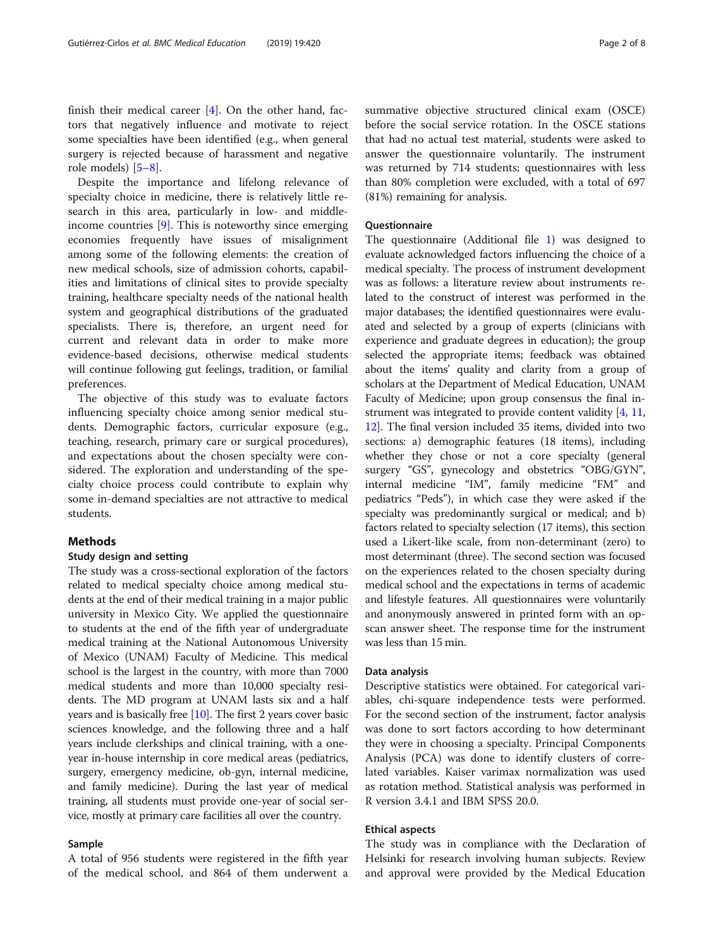finish their medical career [[4](#page-6-0)]. On the other hand, factors that negatively influence and motivate to reject some specialties have been identified (e.g., when general surgery is rejected because of harassment and negative role models) [[5](#page-6-0)–[8\]](#page-6-0).

Despite the importance and lifelong relevance of specialty choice in medicine, there is relatively little research in this area, particularly in low- and middleincome countries [\[9](#page-6-0)]. This is noteworthy since emerging economies frequently have issues of misalignment among some of the following elements: the creation of new medical schools, size of admission cohorts, capabilities and limitations of clinical sites to provide specialty training, healthcare specialty needs of the national health system and geographical distributions of the graduated specialists. There is, therefore, an urgent need for current and relevant data in order to make more evidence-based decisions, otherwise medical students will continue following gut feelings, tradition, or familial preferences.

The objective of this study was to evaluate factors influencing specialty choice among senior medical students. Demographic factors, curricular exposure (e.g., teaching, research, primary care or surgical procedures), and expectations about the chosen specialty were considered. The exploration and understanding of the specialty choice process could contribute to explain why some in-demand specialties are not attractive to medical students.

# **Methods**

### Study design and setting

The study was a cross-sectional exploration of the factors related to medical specialty choice among medical students at the end of their medical training in a major public university in Mexico City. We applied the questionnaire to students at the end of the fifth year of undergraduate medical training at the National Autonomous University of Mexico (UNAM) Faculty of Medicine. This medical school is the largest in the country, with more than 7000 medical students and more than 10,000 specialty residents. The MD program at UNAM lasts six and a half years and is basically free [\[10\]](#page-6-0). The first 2 years cover basic sciences knowledge, and the following three and a half years include clerkships and clinical training, with a oneyear in-house internship in core medical areas (pediatrics, surgery, emergency medicine, ob-gyn, internal medicine, and family medicine). During the last year of medical training, all students must provide one-year of social service, mostly at primary care facilities all over the country.

#### Sample

A total of 956 students were registered in the fifth year of the medical school, and 864 of them underwent a

summative objective structured clinical exam (OSCE) before the social service rotation. In the OSCE stations that had no actual test material, students were asked to answer the questionnaire voluntarily. The instrument was returned by 714 students; questionnaires with less than 80% completion were excluded, with a total of 697 (81%) remaining for analysis.

#### Questionnaire

The questionnaire (Additional file [1](#page-6-0)) was designed to evaluate acknowledged factors influencing the choice of a medical specialty. The process of instrument development was as follows: a literature review about instruments related to the construct of interest was performed in the major databases; the identified questionnaires were evaluated and selected by a group of experts (clinicians with experience and graduate degrees in education); the group selected the appropriate items; feedback was obtained about the items' quality and clarity from a group of scholars at the Department of Medical Education, UNAM Faculty of Medicine; upon group consensus the final instrument was integrated to provide content validity [\[4,](#page-6-0) [11](#page-6-0), [12](#page-6-0)]. The final version included 35 items, divided into two sections: a) demographic features (18 items), including whether they chose or not a core specialty (general surgery "GS", gynecology and obstetrics "OBG/GYN", internal medicine "IM", family medicine "FM" and pediatrics "Peds"), in which case they were asked if the specialty was predominantly surgical or medical; and b) factors related to specialty selection (17 items), this section used a Likert-like scale, from non-determinant (zero) to most determinant (three). The second section was focused on the experiences related to the chosen specialty during medical school and the expectations in terms of academic and lifestyle features. All questionnaires were voluntarily and anonymously answered in printed form with an opscan answer sheet. The response time for the instrument was less than 15 min.

#### Data analysis

Descriptive statistics were obtained. For categorical variables, chi-square independence tests were performed. For the second section of the instrument, factor analysis was done to sort factors according to how determinant they were in choosing a specialty. Principal Components Analysis (PCA) was done to identify clusters of correlated variables. Kaiser varimax normalization was used as rotation method. Statistical analysis was performed in R version 3.4.1 and IBM SPSS 20.0.

## Ethical aspects

The study was in compliance with the Declaration of Helsinki for research involving human subjects. Review and approval were provided by the Medical Education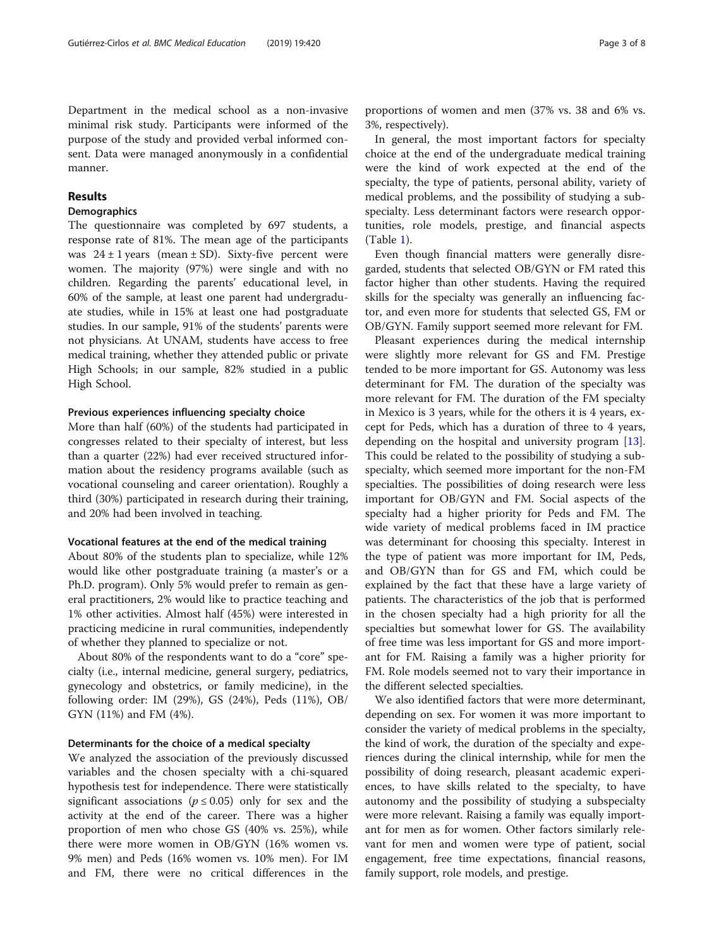# Results

# **Demographics**

The questionnaire was completed by 697 students, a response rate of 81%. The mean age of the participants was  $24 \pm 1$  years (mean  $\pm$  SD). Sixty-five percent were women. The majority (97%) were single and with no children. Regarding the parents' educational level, in 60% of the sample, at least one parent had undergraduate studies, while in 15% at least one had postgraduate studies. In our sample, 91% of the students' parents were not physicians. At UNAM, students have access to free medical training, whether they attended public or private High Schools; in our sample, 82% studied in a public High School.

# Previous experiences influencing specialty choice

More than half (60%) of the students had participated in congresses related to their specialty of interest, but less than a quarter (22%) had ever received structured information about the residency programs available (such as vocational counseling and career orientation). Roughly a third (30%) participated in research during their training, and 20% had been involved in teaching.

## Vocational features at the end of the medical training

About 80% of the students plan to specialize, while 12% would like other postgraduate training (a master's or a Ph.D. program). Only 5% would prefer to remain as general practitioners, 2% would like to practice teaching and 1% other activities. Almost half (45%) were interested in practicing medicine in rural communities, independently of whether they planned to specialize or not.

About 80% of the respondents want to do a "core" specialty (i.e., internal medicine, general surgery, pediatrics, gynecology and obstetrics, or family medicine), in the following order: IM (29%), GS (24%), Peds (11%), OB/ GYN (11%) and FM (4%).

# Determinants for the choice of a medical specialty

We analyzed the association of the previously discussed variables and the chosen specialty with a chi-squared hypothesis test for independence. There were statistically significant associations ( $p \le 0.05$ ) only for sex and the activity at the end of the career. There was a higher proportion of men who chose GS (40% vs. 25%), while there were more women in OB/GYN (16% women vs. 9% men) and Peds (16% women vs. 10% men). For IM and FM, there were no critical differences in the

proportions of women and men (37% vs. 38 and 6% vs. 3%, respectively).

In general, the most important factors for specialty choice at the end of the undergraduate medical training were the kind of work expected at the end of the specialty, the type of patients, personal ability, variety of medical problems, and the possibility of studying a subspecialty. Less determinant factors were research opportunities, role models, prestige, and financial aspects (Table [1\)](#page-3-0).

Even though financial matters were generally disregarded, students that selected OB/GYN or FM rated this factor higher than other students. Having the required skills for the specialty was generally an influencing factor, and even more for students that selected GS, FM or OB/GYN. Family support seemed more relevant for FM.

Pleasant experiences during the medical internship were slightly more relevant for GS and FM. Prestige tended to be more important for GS. Autonomy was less determinant for FM. The duration of the specialty was more relevant for FM. The duration of the FM specialty in Mexico is 3 years, while for the others it is 4 years, except for Peds, which has a duration of three to 4 years, depending on the hospital and university program [\[13](#page-7-0)]. This could be related to the possibility of studying a subspecialty, which seemed more important for the non-FM specialties. The possibilities of doing research were less important for OB/GYN and FM. Social aspects of the specialty had a higher priority for Peds and FM. The wide variety of medical problems faced in IM practice was determinant for choosing this specialty. Interest in the type of patient was more important for IM, Peds, and OB/GYN than for GS and FM, which could be explained by the fact that these have a large variety of patients. The characteristics of the job that is performed in the chosen specialty had a high priority for all the specialties but somewhat lower for GS. The availability of free time was less important for GS and more important for FM. Raising a family was a higher priority for FM. Role models seemed not to vary their importance in the different selected specialties.

We also identified factors that were more determinant, depending on sex. For women it was more important to consider the variety of medical problems in the specialty, the kind of work, the duration of the specialty and experiences during the clinical internship, while for men the possibility of doing research, pleasant academic experiences, to have skills related to the specialty, to have autonomy and the possibility of studying a subspecialty were more relevant. Raising a family was equally important for men as for women. Other factors similarly relevant for men and women were type of patient, social engagement, free time expectations, financial reasons, family support, role models, and prestige.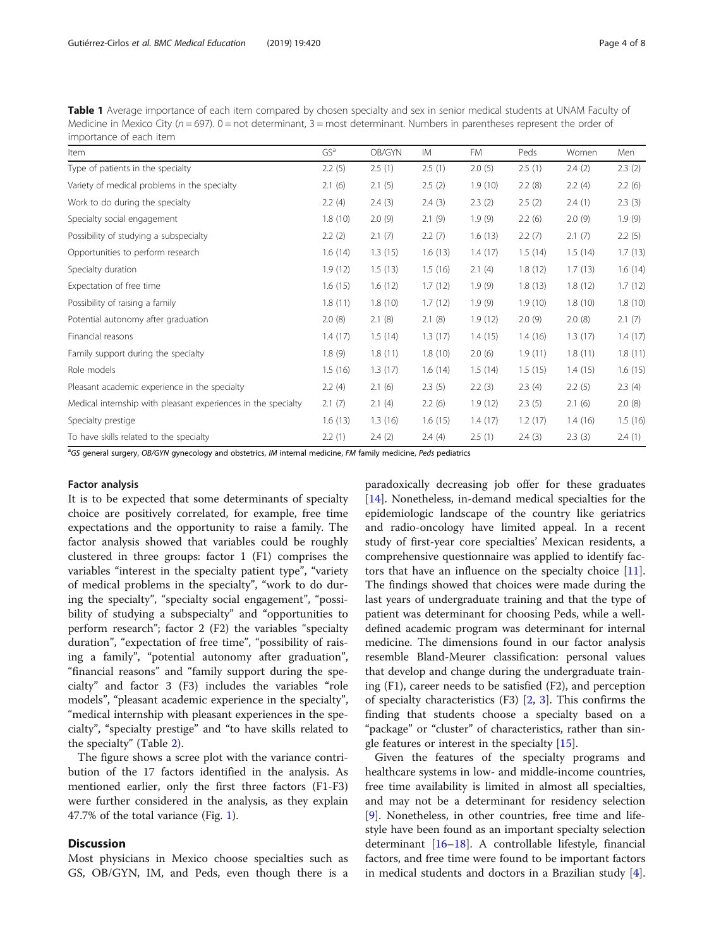<span id="page-3-0"></span>Table 1 Average importance of each item compared by chosen specialty and sex in senior medical students at UNAM Faculty of Medicine in Mexico City ( $n = 697$ ).  $0 =$  not determinant,  $3 =$  most determinant. Numbers in parentheses represent the order of importance of each item

| Item                                                          | GS <sup>a</sup> | OB/GYN  | IM.     | FM      | Peds    | Women   | Men     |
|---------------------------------------------------------------|-----------------|---------|---------|---------|---------|---------|---------|
| Type of patients in the specialty                             | 2.2(5)          | 2.5(1)  | 2.5(1)  | 2.0(5)  | 2.5(1)  | 2.4(2)  | 2.3(2)  |
| Variety of medical problems in the specialty                  | 2.1(6)          | 2.1(5)  | 2.5(2)  | 1.9(10) | 2.2(8)  | 2.2(4)  | 2.2(6)  |
| Work to do during the specialty                               | 2.2(4)          | 2.4(3)  | 2.4(3)  | 2.3(2)  | 2.5(2)  | 2.4(1)  | 2.3(3)  |
| Specialty social engagement                                   | 1.8(10)         | 2.0(9)  | 2.1(9)  | 1.9(9)  | 2.2(6)  | 2.0(9)  | 1.9(9)  |
| Possibility of studying a subspecialty                        | 2.2(2)          | 2.1(7)  | 2.2(7)  | 1.6(13) | 2.2(7)  | 2.1(7)  | 2.2(5)  |
| Opportunities to perform research                             | 1.6(14)         | 1.3(15) | 1.6(13) | 1.4(17) | 1.5(14) | 1.5(14) | 1.7(13) |
| Specialty duration                                            | 1.9(12)         | 1.5(13) | 1.5(16) | 2.1(4)  | 1.8(12) | 1.7(13) | 1.6(14) |
| Expectation of free time                                      | 1.6(15)         | 1.6(12) | 1.7(12) | 1.9(9)  | 1.8(13) | 1.8(12) | 1.7(12) |
| Possibility of raising a family                               | 1.8(11)         | 1.8(10) | 1.7(12) | 1.9(9)  | 1.9(10) | 1.8(10) | 1.8(10) |
| Potential autonomy after graduation                           | 2.0(8)          | 2.1(8)  | 2.1(8)  | 1.9(12) | 2.0(9)  | 2.0(8)  | 2.1(7)  |
| Financial reasons                                             | 1.4(17)         | 1.5(14) | 1.3(17) | 1.4(15) | 1.4(16) | 1.3(17) | 1.4(17) |
| Family support during the specialty                           | 1.8(9)          | 1.8(11) | 1.8(10) | 2.0(6)  | 1.9(11) | 1.8(11) | 1.8(11) |
| Role models                                                   | 1.5(16)         | 1.3(17) | 1.6(14) | 1.5(14) | 1.5(15) | 1.4(15) | 1.6(15) |
| Pleasant academic experience in the specialty                 | 2.2(4)          | 2.1(6)  | 2.3(5)  | 2.2(3)  | 2.3(4)  | 2.2(5)  | 2.3(4)  |
| Medical internship with pleasant experiences in the specialty | 2.1(7)          | 2.1(4)  | 2.2(6)  | 1.9(12) | 2.3(5)  | 2.1(6)  | 2.0(8)  |
| Specialty prestige                                            | 1.6(13)         | 1.3(16) | 1.6(15) | 1.4(17) | 1.2(17) | 1.4(16) | 1.5(16) |
| To have skills related to the specialty                       | 2.2(1)          | 2.4(2)  | 2.4(4)  | 2.5(1)  | 2.4(3)  | 2.3(3)  | 2.4(1)  |

<sup>a</sup>GS general surgery, OB/GYN gynecology and obstetrics, IM internal medicine, FM family medicine, Peds pediatrics

#### Factor analysis

It is to be expected that some determinants of specialty choice are positively correlated, for example, free time expectations and the opportunity to raise a family. The factor analysis showed that variables could be roughly clustered in three groups: factor 1 (F1) comprises the variables "interest in the specialty patient type", "variety of medical problems in the specialty", "work to do during the specialty", "specialty social engagement", "possibility of studying a subspecialty" and "opportunities to perform research"; factor 2 (F2) the variables "specialty duration", "expectation of free time", "possibility of raising a family", "potential autonomy after graduation", "financial reasons" and "family support during the specialty" and factor 3 (F3) includes the variables "role models", "pleasant academic experience in the specialty", "medical internship with pleasant experiences in the specialty", "specialty prestige" and "to have skills related to the specialty" (Table [2\)](#page-4-0).

The figure shows a scree plot with the variance contribution of the 17 factors identified in the analysis. As mentioned earlier, only the first three factors (F1-F3) were further considered in the analysis, as they explain 47.7% of the total variance (Fig. [1\)](#page-5-0).

# **Discussion**

Most physicians in Mexico choose specialties such as GS, OB/GYN, IM, and Peds, even though there is a paradoxically decreasing job offer for these graduates [[14\]](#page-7-0). Nonetheless, in-demand medical specialties for the epidemiologic landscape of the country like geriatrics and radio-oncology have limited appeal. In a recent study of first-year core specialties' Mexican residents, a comprehensive questionnaire was applied to identify factors that have an influence on the specialty choice [\[11](#page-6-0)]. The findings showed that choices were made during the last years of undergraduate training and that the type of patient was determinant for choosing Peds, while a welldefined academic program was determinant for internal medicine. The dimensions found in our factor analysis resemble Bland-Meurer classification: personal values that develop and change during the undergraduate training (F1), career needs to be satisfied (F2), and perception of specialty characteristics  $(F3)$  $(F3)$  $(F3)$   $[2, 3]$  $[2, 3]$  $[2, 3]$ . This confirms the finding that students choose a specialty based on a "package" or "cluster" of characteristics, rather than single features or interest in the specialty [\[15](#page-7-0)].

Given the features of the specialty programs and healthcare systems in low- and middle-income countries, free time availability is limited in almost all specialties, and may not be a determinant for residency selection [[9\]](#page-6-0). Nonetheless, in other countries, free time and lifestyle have been found as an important specialty selection determinant [\[16](#page-7-0)–[18\]](#page-7-0). A controllable lifestyle, financial factors, and free time were found to be important factors in medical students and doctors in a Brazilian study [\[4](#page-6-0)].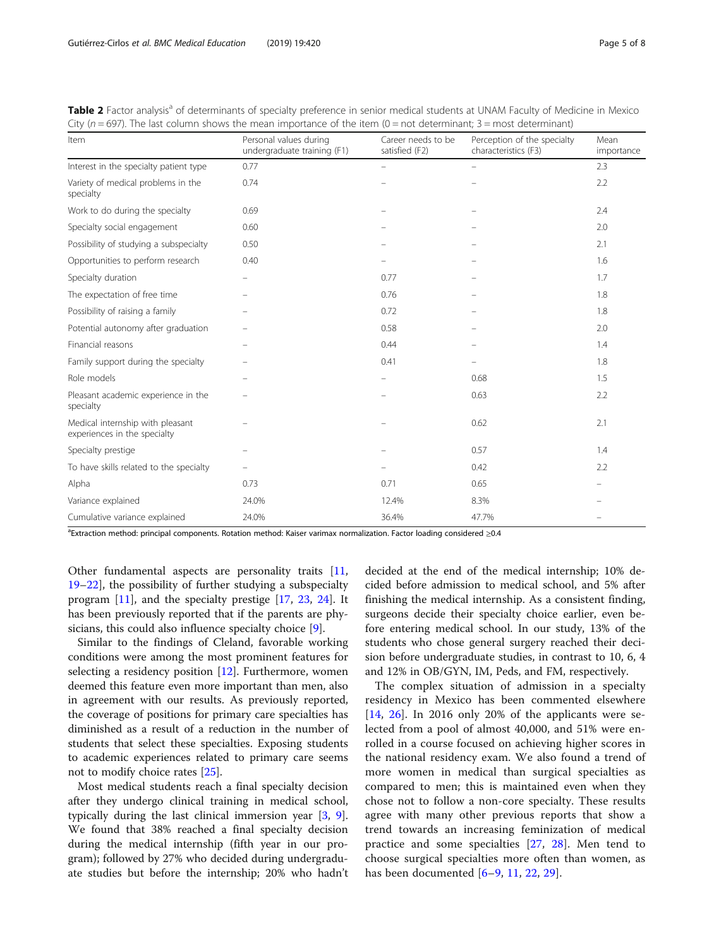| Item                                                             | Personal values during<br>undergraduate training (F1) | Career needs to be<br>satisfied (F2) | Perception of the specialty<br>characteristics (F3) | Mean<br>importance |  |
|------------------------------------------------------------------|-------------------------------------------------------|--------------------------------------|-----------------------------------------------------|--------------------|--|
| Interest in the specialty patient type                           | 0.77                                                  |                                      |                                                     | 2.3                |  |
| Variety of medical problems in the<br>specialty                  | 0.74                                                  |                                      |                                                     | 2.2                |  |
| Work to do during the specialty                                  | 0.69                                                  |                                      |                                                     | 2.4                |  |
| Specialty social engagement                                      | 0.60                                                  |                                      |                                                     | 2.0                |  |
| Possibility of studying a subspecialty                           | 0.50                                                  |                                      |                                                     | 2.1                |  |
| Opportunities to perform research                                | 0.40                                                  |                                      |                                                     | 1.6                |  |
| Specialty duration                                               |                                                       | 0.77                                 |                                                     | 1.7                |  |
| The expectation of free time                                     |                                                       | 0.76                                 |                                                     | 1.8                |  |
| Possibility of raising a family                                  |                                                       | 0.72                                 |                                                     | 1.8                |  |
| Potential autonomy after graduation                              |                                                       | 0.58                                 |                                                     | 2.0                |  |
| Financial reasons                                                |                                                       | 0.44                                 |                                                     | 1.4                |  |
| Family support during the specialty                              |                                                       | 0.41                                 |                                                     | 1.8                |  |
| Role models                                                      |                                                       |                                      | 0.68                                                | 1.5                |  |
| Pleasant academic experience in the<br>specialty                 |                                                       |                                      | 0.63                                                | 2.2                |  |
| Medical internship with pleasant<br>experiences in the specialty |                                                       |                                      | 0.62                                                | 2.1                |  |
| Specialty prestige                                               |                                                       |                                      | 0.57                                                | 1.4                |  |
| To have skills related to the specialty                          |                                                       |                                      | 0.42                                                | 2.2                |  |
| Alpha                                                            | 0.73                                                  | 0.71                                 | 0.65                                                |                    |  |
| Variance explained                                               | 24.0%                                                 | 12.4%                                | 8.3%                                                |                    |  |
| Cumulative variance explained                                    | 24.0%                                                 | 36.4%                                | 47.7%                                               |                    |  |

<span id="page-4-0"></span>Table 2 Factor analysis<sup>a</sup> of determinants of specialty preference in senior medical students at UNAM Faculty of Medicine in Mexico City ( $n = 697$ ). The last column shows the mean importance of the item ( $0 =$  not determinant; 3 = most determinant)

<sup>a</sup>Extraction method: principal components. Rotation method: Kaiser varimax normalization. Factor loading considered ≥0.4

Other fundamental aspects are personality traits [[11](#page-6-0), [19](#page-7-0)–[22](#page-7-0)], the possibility of further studying a subspecialty program [[11\]](#page-6-0), and the specialty prestige [[17](#page-7-0), [23,](#page-7-0) [24\]](#page-7-0). It has been previously reported that if the parents are physicians, this could also influence specialty choice [\[9](#page-6-0)].

Similar to the findings of Cleland, favorable working conditions were among the most prominent features for selecting a residency position [\[12](#page-6-0)]. Furthermore, women deemed this feature even more important than men, also in agreement with our results. As previously reported, the coverage of positions for primary care specialties has diminished as a result of a reduction in the number of students that select these specialties. Exposing students to academic experiences related to primary care seems not to modify choice rates [\[25](#page-7-0)].

Most medical students reach a final specialty decision after they undergo clinical training in medical school, typically during the last clinical immersion year [[3,](#page-6-0) [9](#page-6-0)]. We found that 38% reached a final specialty decision during the medical internship (fifth year in our program); followed by 27% who decided during undergraduate studies but before the internship; 20% who hadn't

decided at the end of the medical internship; 10% decided before admission to medical school, and 5% after finishing the medical internship. As a consistent finding, surgeons decide their specialty choice earlier, even before entering medical school. In our study, 13% of the students who chose general surgery reached their decision before undergraduate studies, in contrast to 10, 6, 4 and 12% in OB/GYN, IM, Peds, and FM, respectively.

The complex situation of admission in a specialty residency in Mexico has been commented elsewhere  $[14, 26]$  $[14, 26]$  $[14, 26]$  $[14, 26]$ . In 2016 only 20% of the applicants were selected from a pool of almost 40,000, and 51% were enrolled in a course focused on achieving higher scores in the national residency exam. We also found a trend of more women in medical than surgical specialties as compared to men; this is maintained even when they chose not to follow a non-core specialty. These results agree with many other previous reports that show a trend towards an increasing feminization of medical practice and some specialties [\[27](#page-7-0), [28](#page-7-0)]. Men tend to choose surgical specialties more often than women, as has been documented [[6](#page-6-0)–[9,](#page-6-0) [11](#page-6-0), [22](#page-7-0), [29\]](#page-7-0).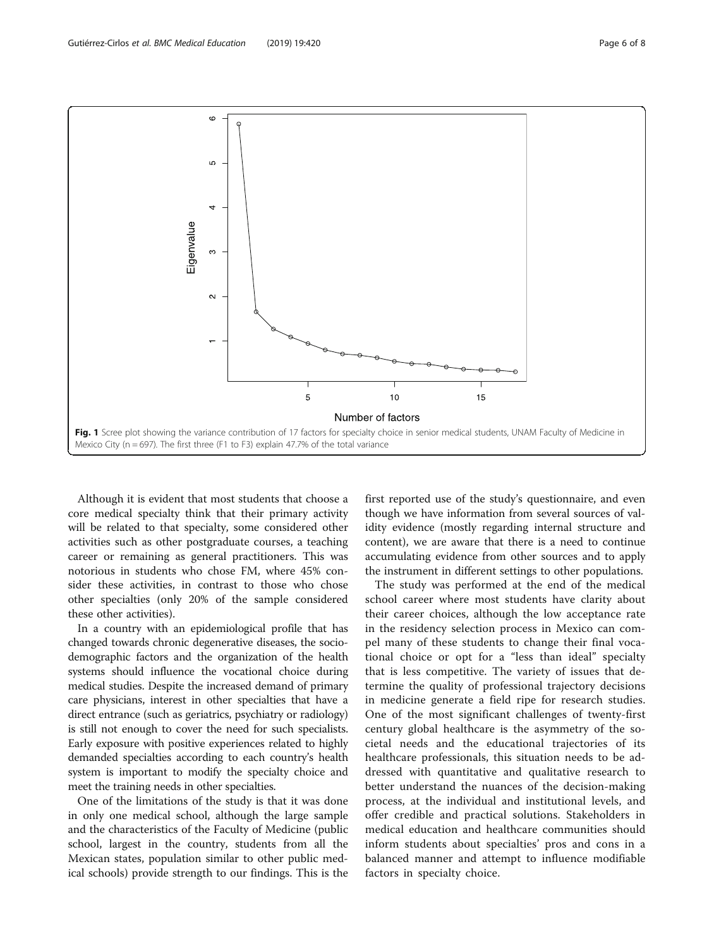<span id="page-5-0"></span>

Although it is evident that most students that choose a core medical specialty think that their primary activity will be related to that specialty, some considered other activities such as other postgraduate courses, a teaching career or remaining as general practitioners. This was notorious in students who chose FM, where 45% consider these activities, in contrast to those who chose other specialties (only 20% of the sample considered these other activities).

In a country with an epidemiological profile that has changed towards chronic degenerative diseases, the sociodemographic factors and the organization of the health systems should influence the vocational choice during medical studies. Despite the increased demand of primary care physicians, interest in other specialties that have a direct entrance (such as geriatrics, psychiatry or radiology) is still not enough to cover the need for such specialists. Early exposure with positive experiences related to highly demanded specialties according to each country's health system is important to modify the specialty choice and meet the training needs in other specialties.

One of the limitations of the study is that it was done in only one medical school, although the large sample and the characteristics of the Faculty of Medicine (public school, largest in the country, students from all the Mexican states, population similar to other public medical schools) provide strength to our findings. This is the first reported use of the study's questionnaire, and even though we have information from several sources of validity evidence (mostly regarding internal structure and content), we are aware that there is a need to continue accumulating evidence from other sources and to apply the instrument in different settings to other populations.

The study was performed at the end of the medical school career where most students have clarity about their career choices, although the low acceptance rate in the residency selection process in Mexico can compel many of these students to change their final vocational choice or opt for a "less than ideal" specialty that is less competitive. The variety of issues that determine the quality of professional trajectory decisions in medicine generate a field ripe for research studies. One of the most significant challenges of twenty-first century global healthcare is the asymmetry of the societal needs and the educational trajectories of its healthcare professionals, this situation needs to be addressed with quantitative and qualitative research to better understand the nuances of the decision-making process, at the individual and institutional levels, and offer credible and practical solutions. Stakeholders in medical education and healthcare communities should inform students about specialties' pros and cons in a balanced manner and attempt to influence modifiable factors in specialty choice.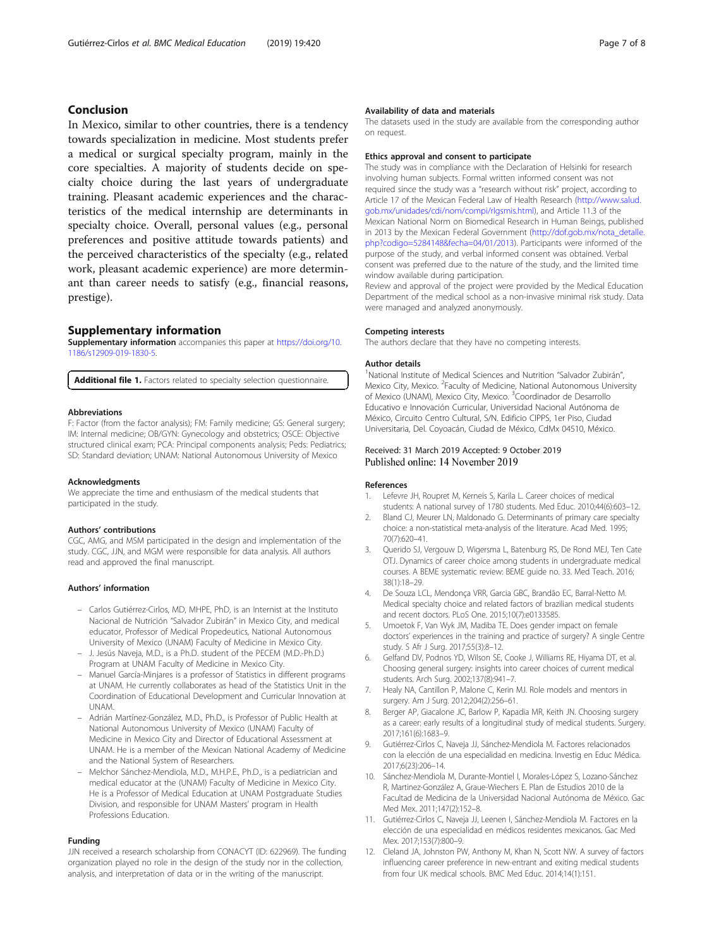# <span id="page-6-0"></span>Conclusion

In Mexico, similar to other countries, there is a tendency towards specialization in medicine. Most students prefer a medical or surgical specialty program, mainly in the core specialties. A majority of students decide on specialty choice during the last years of undergraduate training. Pleasant academic experiences and the characteristics of the medical internship are determinants in specialty choice. Overall, personal values (e.g., personal preferences and positive attitude towards patients) and the perceived characteristics of the specialty (e.g., related work, pleasant academic experience) are more determinant than career needs to satisfy (e.g., financial reasons, prestige).

#### Supplementary information

Supplementary information accompanies this paper at [https://doi.org/10.](https://doi.org/10.1186/s12909-019-1830-5) [1186/s12909-019-1830-5.](https://doi.org/10.1186/s12909-019-1830-5)

Additional file 1. Factors related to specialty selection questionnaire.

#### **Abbreviations**

F: Factor (from the factor analysis); FM: Family medicine; GS: General surgery; IM: Internal medicine; OB/GYN: Gynecology and obstetrics; OSCE: Objective structured clinical exam; PCA: Principal components analysis; Peds: Pediatrics; SD: Standard deviation; UNAM: National Autonomous University of Mexico

#### Acknowledgments

We appreciate the time and enthusiasm of the medical students that participated in the study.

#### Authors' contributions

CGC, AMG, and MSM participated in the design and implementation of the study. CGC, JJN, and MGM were responsible for data analysis. All authors read and approved the final manuscript.

#### Authors' information

- Carlos Gutiérrez-Cirlos, MD, MHPE, PhD, is an Internist at the Instituto Nacional de Nutrición "Salvador Zubirán" in Mexico City, and medical educator, Professor of Medical Propedeutics, National Autonomous University of Mexico (UNAM) Faculty of Medicine in Mexico City.
- J. Jesús Naveja, M.D., is a Ph.D. student of the PECEM (M.D.-Ph.D.) Program at UNAM Faculty of Medicine in Mexico City.
- Manuel García-Minjares is a professor of Statistics in different programs at UNAM. He currently collaborates as head of the Statistics Unit in the Coordination of Educational Development and Curricular Innovation at UNAM.
- Adrián Martínez-González, M.D., Ph.D., is Professor of Public Health at National Autonomous University of Mexico (UNAM) Faculty of Medicine in Mexico City and Director of Educational Assessment at UNAM. He is a member of the Mexican National Academy of Medicine and the National System of Researchers.
- Melchor Sánchez-Mendiola, M.D., M.H.P.E., Ph.D., is a pediatrician and medical educator at the (UNAM) Faculty of Medicine in Mexico City. He is a Professor of Medical Education at UNAM Postgraduate Studies Division, and responsible for UNAM Masters' program in Health Professions Education.

#### Funding

JJN received a research scholarship from CONACYT (ID: 622969). The funding organization played no role in the design of the study nor in the collection, analysis, and interpretation of data or in the writing of the manuscript.

#### Availability of data and materials

The datasets used in the study are available from the corresponding author on request.

#### Ethics approval and consent to participate

The study was in compliance with the Declaration of Helsinki for research involving human subjects. Formal written informed consent was not required since the study was a "research without risk" project, according to Article 17 of the Mexican Federal Law of Health Research ([http://www.salud.](http://www.salud.gob.mx/unidades/cdi/nom/compi/rlgsmis.html) [gob.mx/unidades/cdi/nom/compi/rlgsmis.html\)](http://www.salud.gob.mx/unidades/cdi/nom/compi/rlgsmis.html), and Article 11.3 of the Mexican National Norm on Biomedical Research in Human Beings, published in 2013 by the Mexican Federal Government ([http://dof.gob.mx/nota\\_detalle.](http://dof.gob.mx/nota_detalle.php?codigo=5284148&fecha=04/01/2013) [php?codigo=5284148&fecha=04/01/2013\)](http://dof.gob.mx/nota_detalle.php?codigo=5284148&fecha=04/01/2013). Participants were informed of the purpose of the study, and verbal informed consent was obtained. Verbal consent was preferred due to the nature of the study, and the limited time window available during participation.

Review and approval of the project were provided by the Medical Education Department of the medical school as a non-invasive minimal risk study. Data were managed and analyzed anonymously.

#### Competing interests

The authors declare that they have no competing interests.

#### Author details

<sup>1</sup>National Institute of Medical Sciences and Nutrition "Salvador Zubirán", Mexico City, Mexico. <sup>2</sup> Faculty of Medicine, National Autonomous University of Mexico (UNAM), Mexico City, Mexico.<sup>3</sup> Coordinador de Desarrollo Educativo e Innovación Curricular, Universidad Nacional Autónoma de México, Circuito Centro Cultural, S/N. Edificio CIPPS, 1er Piso, Ciudad Universitaria, Del. Coyoacán, Ciudad de México, CdMx 04510, México.

#### Received: 31 March 2019 Accepted: 9 October 2019 Published online: 14 November 2019

#### References

- 1. Lefevre JH, Roupret M, Kerneis S, Karila L. Career choices of medical students: A national survey of 1780 students. Med Educ. 2010;44(6):603–12.
- Bland CJ, Meurer LN, Maldonado G. Determinants of primary care specialty choice: a non-statistical meta-analysis of the literature. Acad Med. 1995; 70(7):620–41.
- Querido SJ, Vergouw D, Wigersma L, Batenburg RS, De Rond MEJ, Ten Cate OTJ. Dynamics of career choice among students in undergraduate medical courses. A BEME systematic review: BEME guide no. 33. Med Teach. 2016; 38(1):18–29.
- 4. De Souza LCL, Mendonça VRR, Garcia GBC, Brandão EC, Barral-Netto M. Medical specialty choice and related factors of brazilian medical students and recent doctors. PLoS One. 2015;10(7):e0133585.
- 5. Umoetok F, Van Wyk JM, Madiba TE. Does gender impact on female doctors' experiences in the training and practice of surgery? A single Centre study. S Afr J Surg. 2017;55(3):8–12.
- 6. Gelfand DV, Podnos YD, Wilson SE, Cooke J, Williams RE, Hiyama DT, et al. Choosing general surgery: insights into career choices of current medical students. Arch Surg. 2002;137(8):941–7.
- 7. Healy NA, Cantillon P, Malone C, Kerin MJ. Role models and mentors in surgery. Am J Surg. 2012;204(2):256–61.
- 8. Berger AP, Giacalone JC, Barlow P, Kapadia MR, Keith JN. Choosing surgery as a career: early results of a longitudinal study of medical students. Surgery. 2017;161(6):1683–9.
- Gutiérrez-Cirlos C, Naveja JJ, Sánchez-Mendiola M. Factores relacionados con la elección de una especialidad en medicina. Investig en Educ Médica. 2017;6(23):206–14.
- 10. Sánchez-Mendiola M, Durante-Montiel I, Morales-López S, Lozano-Sánchez R, Martinez-González A, Graue-Wiechers E. Plan de Estudios 2010 de la Facultad de Medicina de la Universidad Nacional Autónoma de México. Gac Med Mex. 2011;147(2):152–8.
- 11. Gutiérrez-Cirlos C, Naveja JJ, Leenen I, Sánchez-Mendiola M. Factores en la elección de una especialidad en médicos residentes mexicanos. Gac Med Mex. 2017;153(7):800–9.
- 12. Cleland JA, Johnston PW, Anthony M, Khan N, Scott NW. A survey of factors influencing career preference in new-entrant and exiting medical students from four UK medical schools. BMC Med Educ. 2014;14(1):151.